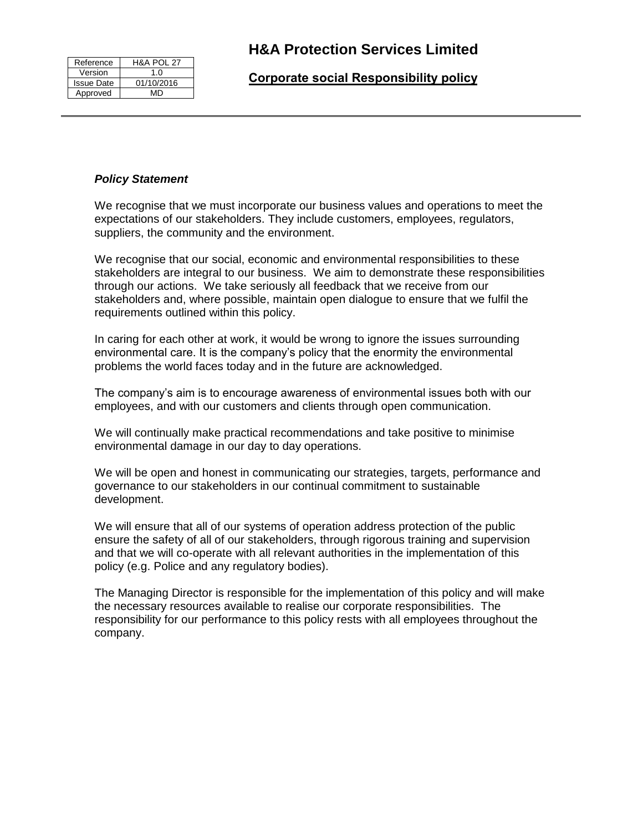| Reference         | <b>H&amp;A POL 27</b> |
|-------------------|-----------------------|
| Version           | 1.0                   |
| <b>Issue Date</b> | 01/10/2016            |
| Approved          | MD                    |

## **Corporate social Responsibility policy**

## *Policy Statement*

We recognise that we must incorporate our business values and operations to meet the expectations of our stakeholders. They include customers, employees, regulators, suppliers, the community and the environment.

We recognise that our social, economic and environmental responsibilities to these stakeholders are integral to our business. We aim to demonstrate these responsibilities through our actions. We take seriously all feedback that we receive from our stakeholders and, where possible, maintain open dialogue to ensure that we fulfil the requirements outlined within this policy.

In caring for each other at work, it would be wrong to ignore the issues surrounding environmental care. It is the company's policy that the enormity the environmental problems the world faces today and in the future are acknowledged.

The company's aim is to encourage awareness of environmental issues both with our employees, and with our customers and clients through open communication.

We will continually make practical recommendations and take positive to minimise environmental damage in our day to day operations.

We will be open and honest in communicating our strategies, targets, performance and governance to our stakeholders in our continual commitment to sustainable development.

We will ensure that all of our systems of operation address protection of the public ensure the safety of all of our stakeholders, through rigorous training and supervision and that we will co-operate with all relevant authorities in the implementation of this policy (e.g. Police and any regulatory bodies).

The Managing Director is responsible for the implementation of this policy and will make the necessary resources available to realise our corporate responsibilities. The responsibility for our performance to this policy rests with all employees throughout the company.